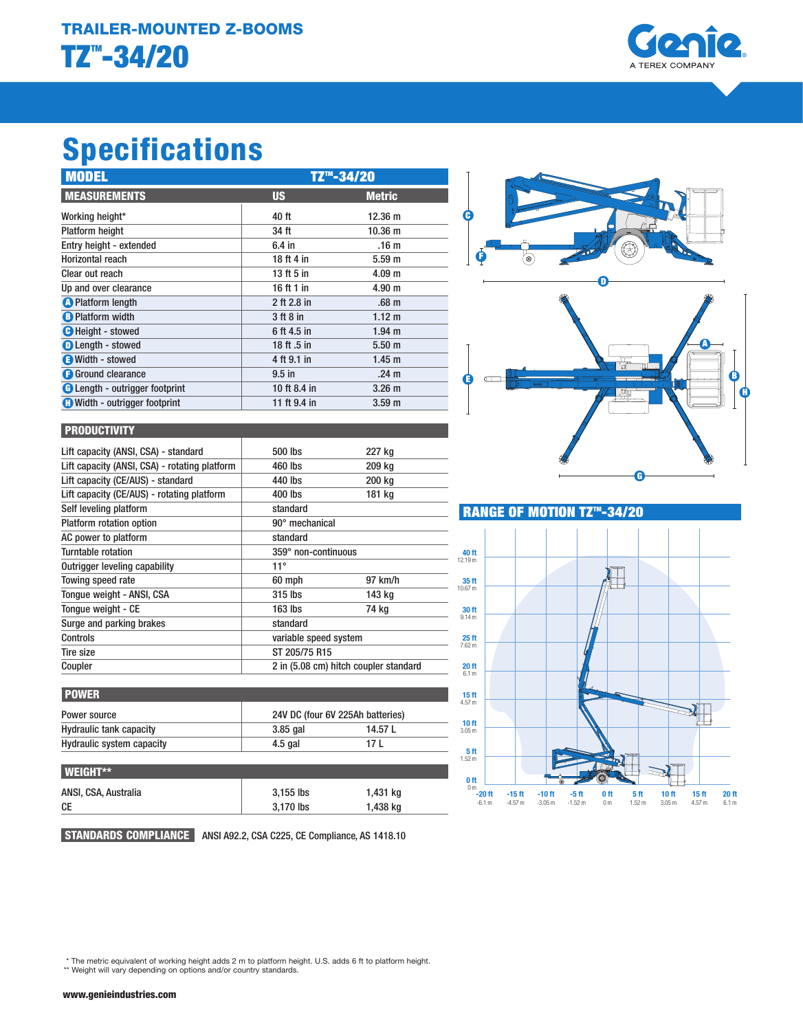

# Specifications

| <b>MODEL</b>                          | TZ <sup>™</sup> -34/20 |                   |  |
|---------------------------------------|------------------------|-------------------|--|
| <b>MEASUREMENTS</b>                   | <b>US</b>              | <b>Metric</b>     |  |
| Working height*                       | 40 ft                  | $12.36 \text{ m}$ |  |
| <b>Platform height</b>                | 34 ft                  | 10.36 m           |  |
| Entry height - extended               | $6.4$ in               | .16 <sub>m</sub>  |  |
| Horizontal reach                      | 18 ft 4 in             | 5.59 <sub>m</sub> |  |
| Clear out reach                       | 13 ft 5 in             | 4.09 <sub>m</sub> |  |
| Up and over clearance                 | 16 ft 1 in             | 4.90 m            |  |
| <b>O</b> Platform length              | 2 ft 2.8 in            | .68 <sub>m</sub>  |  |
| <b>B</b> Platform width               | 3 ft 8 in              | 1.12 m            |  |
| <b>O</b> Height - stowed              | 6 ft 4.5 in            | 1.94 <sub>m</sub> |  |
| <b>D</b> Length - stowed              | 18 ft .5 in            | 5.50 <sub>m</sub> |  |
| Width - stowed                        | 4 ft 9.1 in            | 1.45 <sub>m</sub> |  |
| <b>G</b> Ground clearance             | $9.5$ in               | .24 <sub>m</sub>  |  |
| <b>B</b> Length - outrigger footprint | 10 ft 8.4 in           | 3.26 <sub>m</sub> |  |
| <b>O</b> Width - outrigger footprint  | 11 ft 9.4 in           | 3.59 <sub>m</sub> |  |





## **PRODUCTIVITY**

| Lift capacity (ANSI, CSA) - standard          | 500 lbs                               | 227 kg  |
|-----------------------------------------------|---------------------------------------|---------|
| Lift capacity (ANSI, CSA) - rotating platform | 460 lbs                               | 209 kg  |
| Lift capacity (CE/AUS) - standard             | 440 lbs                               | 200 kg  |
| Lift capacity (CE/AUS) - rotating platform    | 400 lbs                               | 181 kg  |
| Self leveling platform                        | standard                              |         |
| Platform rotation option                      | 90° mechanical                        |         |
| AC power to platform                          | standard                              |         |
| Turntable rotation                            | 359° non-continuous                   |         |
| Outrigger leveling capability                 | $11^{\circ}$                          |         |
| Towing speed rate                             | 60 mph                                | 97 km/h |
| Tonque weight - ANSI, CSA                     | 315 lbs                               | 143 kg  |
| Tonque weight - CE                            | $163$ lbs                             | 74 kg   |
| Surge and parking brakes                      | standard                              |         |
| Controls                                      | variable speed system                 |         |
| <b>Tire size</b>                              | ST 205/75 R15                         |         |
| Coupler                                       | 2 in (5.08 cm) hitch coupler standard |         |

| Power source                   | 24V DC (four 6V 225Ah batteries) |         |
|--------------------------------|----------------------------------|---------|
| <b>Hydraulic tank capacity</b> | $3.85$ gal                       | 14.57 L |
| Hydraulic system capacity      | $4.5$ gal                        | 17 L    |

| $\blacksquare$       |             |          |
|----------------------|-------------|----------|
| ANSI, CSA, Australia | $3.155$ lbs | 1,431 kg |
| СE                   | 3.170 lbs   | 1,438 kg |
|                      |             |          |

STANDARDS COMPLIANCE ANSI A92.2, CSA C225, CE Compliance, AS 1418.10



E



\* The metric equivalent of working height adds 2 m to platform height. U.S. adds 6 ft to platform height. \*\* Weight will vary depending on options and/or country standards.